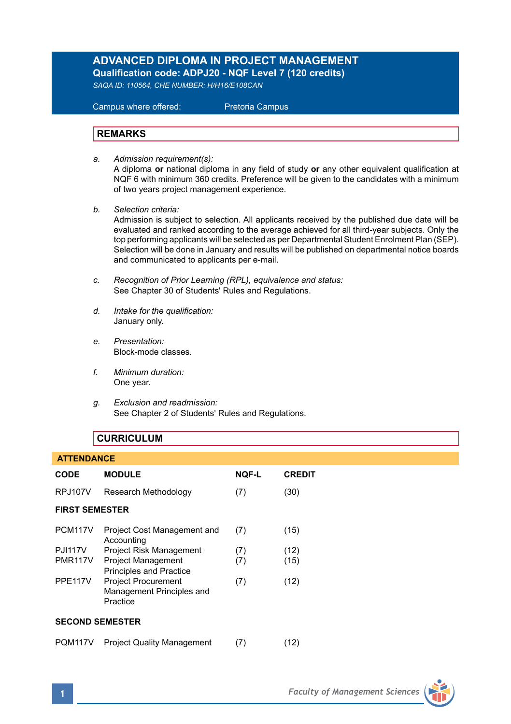## **ADVANCED DIPLOMA IN PROJECT MANAGEMENT Qualification code: ADPJ20 - NQF Level 7 (120 credits)**

*SAQA ID: 110564, CHE NUMBER: H/H16/E108CAN* 

 Campus where offered: Pretoria Campus

## **REMARKS**

*a. Admission requirement(s):* 

A diploma **or** national diploma in any field of study **or** any other equivalent qualification at NQF 6 with minimum 360 credits. Preference will be given to the candidates with a minimum of two years project management experience.

*b. Selection criteria:*

Admission is subject to selection. All applicants received by the published due date will be evaluated and ranked according to the average achieved for all third-year subjects. Only the top performing applicants will be selected as per Departmental Student Enrolment Plan (SEP). Selection will be done in January and results will be published on departmental notice boards and communicated to applicants per e-mail.

- *c. Recognition of Prior Learning (RPL), equivalence and status:* See Chapter 30 of Students' Rules and Regulations.
- *d. Intake for the qualification:* January only.
- *e. Presentation:* Block-mode classes.
- *f. Minimum duration:* One year.
- *g. Exclusion and readmission:* See Chapter 2 of Students' Rules and Regulations.

## **CURRICULUM**

# **ATTENDANCE CODE MODULE NQF-L CREDIT** RPJ107V Research Methodology (7) (30) **FIRST SEMESTER** PCM117V Project Cost Management and (7) (15) Accounting PJI117V Project Risk Management (7) (12)<br>PMR117V Project Management (7) (15) Project Management (7) (15) Principles and Practice PPE117V Project Procurement (7) (12) Management Principles and Practice **SECOND SEMESTER** PQM117V Project Quality Management (7) (12)

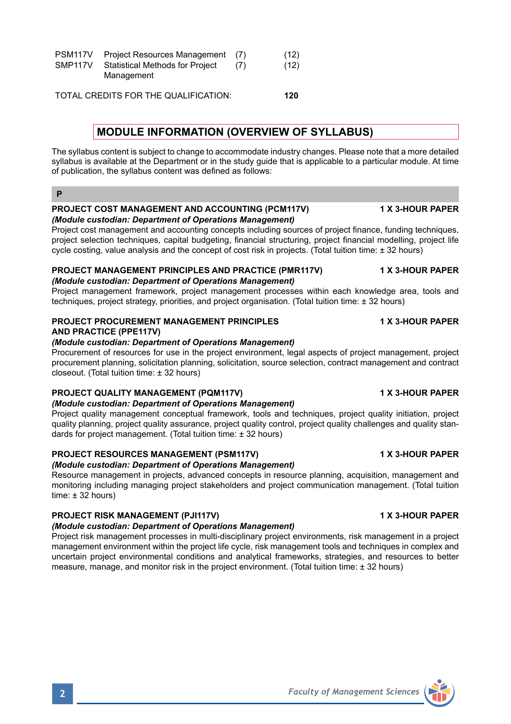PSM117V Project Resources Management (7) (12)<br>SMP117V Statistical Methods for Project (7) (12) Statistical Methods for Project (7) (12) Management

TOTAL CREDITS FOR THE QUALIFICATION: **120**

## **MODULE INFORMATION (OVERVIEW OF SYLLABUS)**

The syllabus content is subject to change to accommodate industry changes. Please note that a more detailed syllabus is available at the Department or in the study guide that is applicable to a particular module. At time of publication, the syllabus content was defined as follows:

#### **PROJECT COST MANAGEMENT AND ACCOUNTING (PCM117V) 1 X 3-HOUR PAPER** *(Module custodian: Department of Operations Management)*

Project cost management and accounting concepts including sources of project finance, funding techniques, project selection techniques, capital budgeting, financial structuring, project financial modelling, project life cycle costing, value analysis and the concept of cost risk in projects. (Total tuition time: ± 32 hours)

### **PROJECT MANAGEMENT PRINCIPLES AND PRACTICE (PMR117V) 1 X 3-HOUR PAPER** *(Module custodian: Department of Operations Management)*

Project management framework, project management processes within each knowledge area, tools and techniques, project strategy, priorities, and project organisation. (Total tuition time: ± 32 hours)

## **PROJECT PROCUREMENT MANAGEMENT PRINCIPLES 1 X 3-HOUR PAPER AND PRACTICE (PPE117V)**

### *(Module custodian: Department of Operations Management)*

Procurement of resources for use in the project environment, legal aspects of project management, project procurement planning, solicitation planning, solicitation, source selection, contract management and contract closeout. (Total tuition time: ± 32 hours)

## **PROJECT QUALITY MANAGEMENT (PQM117V) 1 X 3-HOUR PAPER**

## *(Module custodian: Department of Operations Management)*

Project quality management conceptual framework, tools and techniques, project quality initiation, project quality planning, project quality assurance, project quality control, project quality challenges and quality standards for project management. (Total tuition time: ± 32 hours)

#### **PROJECT RESOURCES MANAGEMENT (PSM117V) 1 X 3-HOUR PAPER** *(Module custodian: Department of Operations Management)*

Resource management in projects, advanced concepts in resource planning, acquisition, management and monitoring including managing project stakeholders and project communication management. (Total tuition time: ± 32 hours)

## **PROJECT RISK MANAGEMENT (PJI117V) 1 X 3-HOUR PAPER**

*(Module custodian: Department of Operations Management)*

Project risk management processes in multi-disciplinary project environments, risk management in a project management environment within the project life cycle, risk management tools and techniques in complex and uncertain project environmental conditions and analytical frameworks, strategies, and resources to better measure, manage, and monitor risk in the project environment. (Total tuition time: ± 32 hours)